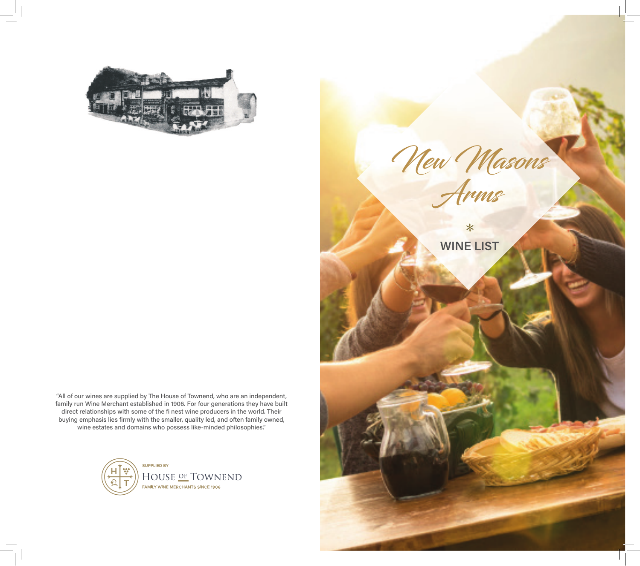

"All of our wines are supplied by The House of Townend, who are an independent, family run Wine Merchant established in 1906. For four generations they have built direct relationships with some of the fi nest wine producers in the world. Their buying emphasis lies firmly with the smaller, quality led, and often family owned, wine estates and domains who possess like-minded philosophies."